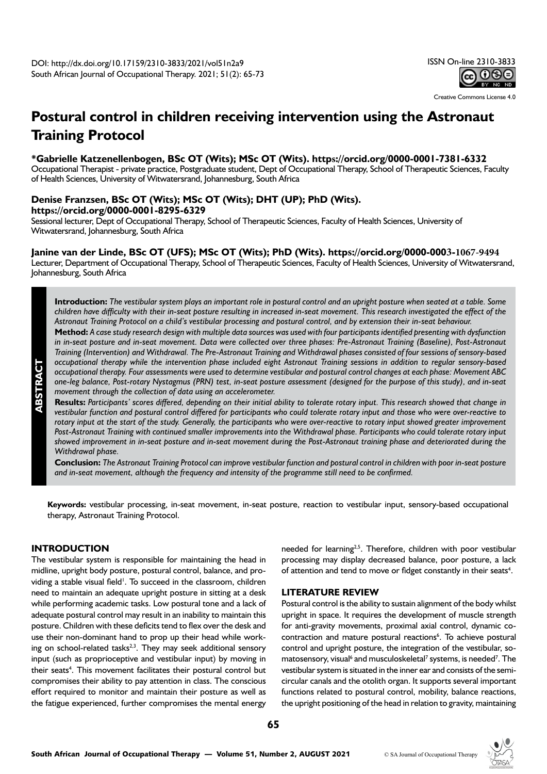Creative Commons License 4.0

# **Postural control in children receiving intervention using the Astronaut Training Protocol**

#### **\*Gabrielle Katzenellenbogen, BSc OT (Wits); MSc OT (Wits). https://orcid.org/0000-0001-7381-6332**

Occupational Therapist - private practice, Postgraduate student, Dept of Occupational Therapy, School of Therapeutic Sciences, Faculty of Health Sciences, University of Witwatersrand, Johannesburg, South Africa

## **Denise Franzsen, BSc OT (Wits); MSc OT (Wits); DHT (UP); PhD (Wits). https://orcid.org/0000-0001-8295-6329**

Sessional lecturer, Dept of Occupational Therapy, School of Therapeutic Sciences, Faculty of Health Sciences, University of Witwatersrand, Johannesburg, South Africa

# **Janine van der Linde, BSc OT (UFS); MSc OT (Wits); PhD (Wits). https://orcid.org/0000-0003-1067-9494**

Lecturer, Department of Occupational Therapy, School of Therapeutic Sciences, Faculty of Health Sciences, University of Witwatersrand, Johannesburg, South Africa

**Introduction:** *The vestibular system plays an important role in postural control and an upright posture when seated at a table. Some children have difficulty with their in-seat posture resulting in increased in-seat movement. This research investigated the effect of the Astronaut Training Protocol on a child's vestibular processing and postural control, and by extension their in-seat behaviour.*

**Method:** *A case study research design with multiple data sources was used with four participants identified presenting with dysfunction*  in in-seat posture and in-seat movement. Data were collected over three phases: Pre-Astronaut Training (Baseline), Post-Astronaut *Training (Intervention) and Withdrawal. The Pre-Astronaut Training and Withdrawal phases consisted of four sessions of sensory-based occupational therapy while the intervention phase included eight Astronaut Training sessions in addition to regular sensory-based occupational therapy. Four assessments were used to determine vestibular and postural control changes at each phase: Movement ABC one-leg balance, Post-rotary Nystagmus (PRN) test, in-seat posture assessment (designed for the purpose of this study), and in-seat movement through the collection of data using an accelerometer.* 

**Results:** *Participants' scores differed, depending on their initial ability to tolerate rotary input. This research showed that change in vestibular function and postural control differed for participants who could tolerate rotary input and those who were over-reactive to rotary input at the start of the study. Generally, the participants who were over-reactive to rotary input showed greater improvement*  Post-Astronaut Training with continued smaller improvements into the Withdrawal phase. Participants who could tolerate rotary input *showed improvement in in-seat posture and in-seat movement during the Post-Astronaut training phase and deteriorated during the Withdrawal phase.* 

**Conclusion:** *The Astronaut Training Protocol can improve vestibular function and postural control in children with poor in-seat posture and in-seat movement, although the frequency and intensity of the programme still need to be confirmed.*

**Keywords:** vestibular processing, in-seat movement, in-seat posture, reaction to vestibular input, sensory-based occupational therapy, Astronaut Training Protocol.

## **INTRODUCTION**

**ABSTRACT**

The vestibular system is responsible for maintaining the head in midline, upright body posture, postural control, balance, and providing a stable visual field<sup>1</sup>. To succeed in the classroom, children need to maintain an adequate upright posture in sitting at a desk while performing academic tasks. Low postural tone and a lack of adequate postural control may result in an inability to maintain this posture. Children with these deficits tend to flex over the desk and use their non-dominant hand to prop up their head while working on school-related tasks $^{2,3}$ . They may seek additional sensory input (such as proprioceptive and vestibular input) by moving in their seats<sup>4</sup>. This movement facilitates their postural control but compromises their ability to pay attention in class. The conscious effort required to monitor and maintain their posture as well as the fatigue experienced, further compromises the mental energy needed for learning<sup>2,5</sup>. Therefore, children with poor vestibular processing may display decreased balance, poor posture, a lack of attention and tend to move or fidget constantly in their seats<sup>4</sup>.

#### **LITERATURE REVIEW**

Postural control is the ability to sustain alignment of the body whilst upright in space. It requires the development of muscle strength for anti-gravity movements, proximal axial control, dynamic cocontraction and mature postural reactions<sup>6</sup>. To achieve postural control and upright posture, the integration of the vestibular, somatosensory, visual<sup>6</sup> and musculoskeletal<sup>7</sup> systems, is needed<sup>7</sup>. The vestibular system is situated in the inner ear and consists of the semicircular canals and the otolith organ. It supports several important functions related to postural control, mobility, balance reactions, the upright positioning of the head in relation to gravity, maintaining

**65**

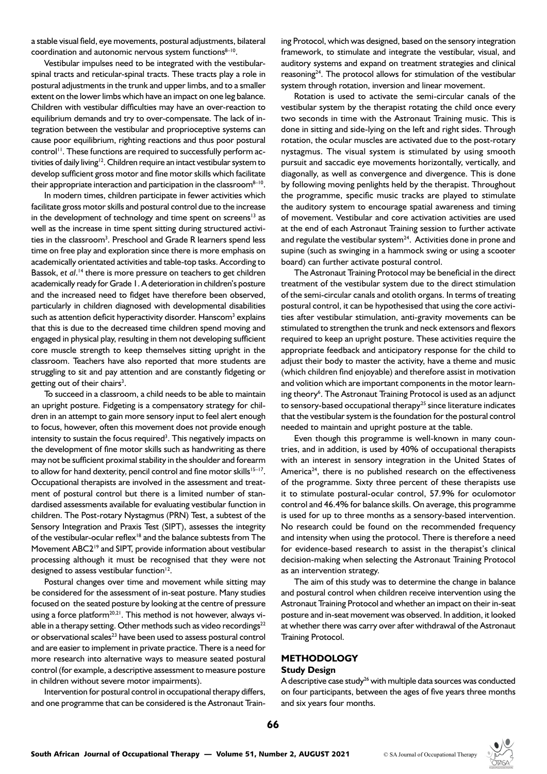a stable visual field, eye movements, postural adjustments, bilateral coordination and autonomic nervous system functions $8-10$ .

Vestibular impulses need to be integrated with the vestibularspinal tracts and reticular-spinal tracts. These tracts play a role in postural adjustments in the trunk and upper limbs, and to a smaller extent on the lower limbs which have an impact on one leg balance. Children with vestibular difficulties may have an over-reaction to equilibrium demands and try to over-compensate. The lack of integration between the vestibular and proprioceptive systems can cause poor equilibrium, righting reactions and thus poor postural control<sup>11</sup>. These functions are required to successfully perform activities of daily living<sup>12</sup>. Children require an intact vestibular system to develop sufficient gross motor and fine motor skills which facilitate their appropriate interaction and participation in the classroom<sup>8-10</sup>.

In modern times, children participate in fewer activities which facilitate gross motor skills and postural control due to the increase in the development of technology and time spent on screens<sup>13</sup> as well as the increase in time spent sitting during structured activities in the classroom<sup>3</sup>. Preschool and Grade R learners spend less time on free play and exploration since there is more emphasis on academically orientated activities and table-top tasks. According to Bassok, et al.<sup>14</sup> there is more pressure on teachers to get children academically ready for Grade 1. A deterioration in children's posture and the increased need to fidget have therefore been observed, particularly in children diagnosed with developmental disabilities such as attention deficit hyperactivity disorder. Hanscom<sup>3</sup> explains that this is due to the decreased time children spend moving and engaged in physical play, resulting in them not developing sufficient core muscle strength to keep themselves sitting upright in the classroom. Teachers have also reported that more students are struggling to sit and pay attention and are constantly fidgeting or getting out of their chairs<sup>3</sup>.

To succeed in a classroom, a child needs to be able to maintain an upright posture. Fidgeting is a compensatory strategy for children in an attempt to gain more sensory input to feel alert enough to focus, however, often this movement does not provide enough intensity to sustain the focus required<sup>3</sup>. This negatively impacts on the development of fine motor skills such as handwriting as there may not be sufficient proximal stability in the shoulder and forearm to allow for hand dexterity, pencil control and fine motor skills $15-17$ . Occupational therapists are involved in the assessment and treatment of postural control but there is a limited number of standardised assessments available for evaluating vestibular function in children. The Post-rotary Nystagmus (PRN) Test, a subtest of the Sensory Integration and Praxis Test (SIPT), assesses the integrity of the vestibular-ocular reflex<sup>18</sup> and the balance subtests from The Movement ABC2<sup>19</sup> and SIPT, provide information about vestibular processing although it must be recognised that they were not designed to assess vestibular function $12$ .

Postural changes over time and movement while sitting may be considered for the assessment of in-seat posture. Many studies focused on the seated posture by looking at the centre of pressure using a force platform<sup>20,21</sup>. This method is not however, always viable in a therapy setting. Other methods such as video recordings $^{22}$ or observational scales<sup>23</sup> have been used to assess postural control and are easier to implement in private practice. There is a need for more research into alternative ways to measure seated postural control (for example, a descriptive assessment to measure posture in children without severe motor impairments).

Intervention for postural control in occupational therapy differs, and one programme that can be considered is the Astronaut Training Protocol, which was designed, based on the sensory integration framework, to stimulate and integrate the vestibular, visual, and auditory systems and expand on treatment strategies and clinical reasoning $24$ . The protocol allows for stimulation of the vestibular system through rotation, inversion and linear movement.

Rotation is used to activate the semi-circular canals of the vestibular system by the therapist rotating the child once every two seconds in time with the Astronaut Training music. This is done in sitting and side-lying on the left and right sides. Through rotation, the ocular muscles are activated due to the post-rotary nystagmus. The visual system is stimulated by using smooth pursuit and saccadic eye movements horizontally, vertically, and diagonally, as well as convergence and divergence. This is done by following moving penlights held by the therapist. Throughout the programme, specific music tracks are played to stimulate the auditory system to encourage spatial awareness and timing of movement. Vestibular and core activation activities are used at the end of each Astronaut Training session to further activate and regulate the vestibular system $24$ . Activities done in prone and supine (such as swinging in a hammock swing or using a scooter board) can further activate postural control.

The Astronaut Training Protocol may be beneficial in the direct treatment of the vestibular system due to the direct stimulation of the semi-circular canals and otolith organs. In terms of treating postural control, it can be hypothesised that using the core activities after vestibular stimulation, anti-gravity movements can be stimulated to strengthen the trunk and neck extensors and flexors required to keep an upright posture. These activities require the appropriate feedback and anticipatory response for the child to adjust their body to master the activity, have a theme and music (which children find enjoyable) and therefore assist in motivation and volition which are important components in the motor learning theory<sup>6</sup>. The Astronaut Training Protocol is used as an adjunct to sensory-based occupational therapy<sup>25</sup> since literature indicates that the vestibular system is the foundation for the postural control needed to maintain and upright posture at the table.

Even though this programme is well-known in many countries, and in addition, is used by 40% of occupational therapists with an interest in sensory integration in the United States of America<sup>24</sup>, there is no published research on the effectiveness of the programme. Sixty three percent of these therapists use it to stimulate postural-ocular control, 57.9% for oculomotor control and 46.4% for balance skills. On average, this programme is used for up to three months as a sensory-based intervention. No research could be found on the recommended frequency and intensity when using the protocol. There is therefore a need for evidence-based research to assist in the therapist's clinical decision-making when selecting the Astronaut Training Protocol as an intervention strategy.

The aim of this study was to determine the change in balance and postural control when children receive intervention using the Astronaut Training Protocol and whether an impact on their in-seat posture and in-seat movement was observed. In addition, it looked at whether there was carry over after withdrawal of the Astronaut Training Protocol.

#### **METHODOLOGY Study Design**

A descriptive case study $^{26}$  with multiple data sources was conducted on four participants, between the ages of five years three months and six years four months.

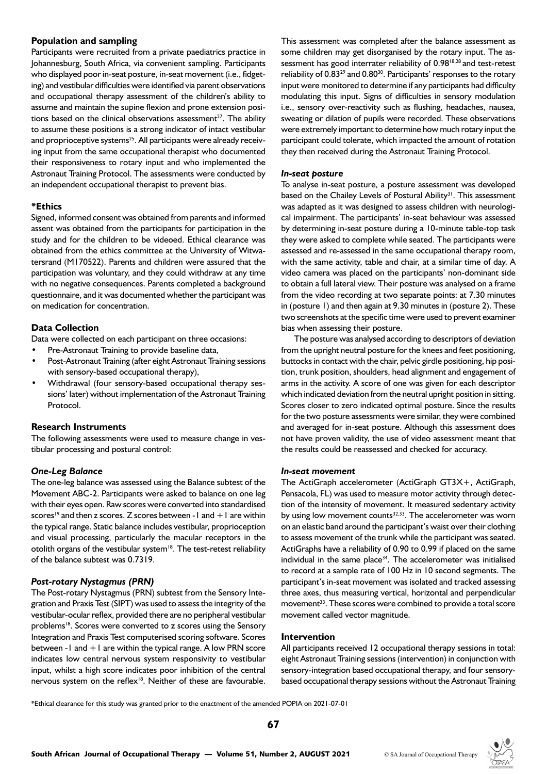## **Population and sampling**

Participants were recruited from a private paediatrics practice in Johannesburg, South Africa, via convenient sampling. Participants who displayed poor in-seat posture, in-seat movement (i.e., fidgeting) and vestibular difficulties were identified via parent observations and occupational therapy assessment of the children's ability to assume and maintain the supine flexion and prone extension positions based on the clinical observations assessment<sup>27</sup>. The ability to assume these positions is a strong indicator of intact vestibular and proprioceptive systems<sup>25</sup>. All participants were already receiving input from the same occupational therapist who documented their responsiveness to rotary input and who implemented the Astronaut Training Protocol. The assessments were conducted by an independent occupational therapist to prevent bias.

## **\*Ethics**

Signed, informed consent was obtained from parents and informed assent was obtained from the participants for participation in the study and for the children to be videoed. Ethical clearance was obtained from the ethics committee at the University of Witwatersrand (M170522). Parents and children were assured that the participation was voluntary, and they could withdraw at any time with no negative consequences. Parents completed a background questionnaire, and it was documented whether the participant was on medication for concentration.

## **Data Collection**

Data were collected on each participant on three occasions:

- Pre-Astronaut Training to provide baseline data,
- Post-Astronaut Training (after eight Astronaut Training sessions with sensory-based occupational therapy),
- Withdrawal (four sensory-based occupational therapy sessions' later) without implementation of the Astronaut Training Protocol.

# **Research Instruments**

The following assessments were used to measure change in vestibular processing and postural control:

## *One-Leg Balance*

The one-leg balance was assessed using the Balance subtest of the Movement ABC-2. Participants were asked to balance on one leg with their eyes open. Raw scores were converted into standardised scores<sup>19</sup> and then z scores. Z scores between -1 and  $+1$  are within the typical range. Static balance includes vestibular, proprioception and visual processing, particularly the macular receptors in the otolith organs of the vestibular system<sup>18</sup>. The test-retest reliability of the balance subtest was 0.7319.

# *Post-rotary Nystagmus (PRN)*

The Post-rotary Nystagmus (PRN) subtest from the Sensory Integration and Praxis Test (SIPT) was used to assess the integrity of the vestibular-ocular reflex, provided there are no peripheral vestibular problems<sup>18</sup>. Scores were converted to z scores using the Sensory Integration and Praxis Test computerised scoring software. Scores between -1 and +1 are within the typical range. A low PRN score indicates low central nervous system responsivity to vestibular input, whilst a high score indicates poor inhibition of the central nervous system on the reflex<sup>18</sup>. Neither of these are favourable.

This assessment was completed after the balance assessment as some children may get disorganised by the rotary input. The assessment has good interrater reliability of 0.98<sup>18,28</sup> and test-retest reliability of 0.83<sup>29</sup> and 0.80<sup>30</sup>. Participants' responses to the rotary input were monitored to determine if any participants had difficulty modulating this input. Signs of difficulties in sensory modulation i.e., sensory over-reactivity such as flushing, headaches, nausea, sweating or dilation of pupils were recorded. These observations were extremely important to determine how much rotary input the participant could tolerate, which impacted the amount of rotation they then received during the Astronaut Training Protocol.

#### *In-seat posture*

To analyse in-seat posture, a posture assessment was developed based on the Chailey Levels of Postural Ability<sup>31</sup>. This assessment was adapted as it was designed to assess children with neurological impairment. The participants' in-seat behaviour was assessed by determining in-seat posture during a 10-minute table-top task they were asked to complete while seated. The participants were assessed and re-assessed in the same occupational therapy room, with the same activity, table and chair, at a similar time of day. A video camera was placed on the participants' non-dominant side to obtain a full lateral view. Their posture was analysed on a frame from the video recording at two separate points: at 7.30 minutes in (posture 1) and then again at 9.30 minutes in (posture 2). These two screenshots at the specific time were used to prevent examiner bias when assessing their posture.

The posture was analysed according to descriptors of deviation from the upright neutral posture for the knees and feet positioning, buttocks in contact with the chair, pelvic girdle positioning, hip position, trunk position, shoulders, head alignment and engagement of arms in the activity. A score of one was given for each descriptor which indicated deviation from the neutral upright position in sitting. Scores closer to zero indicated optimal posture. Since the results for the two posture assessments were similar, they were combined and averaged for in-seat posture. Although this assessment does not have proven validity, the use of video assessment meant that the results could be reassessed and checked for accuracy.

## *In-seat movement*

The ActiGraph accelerometer (ActiGraph GT3X+, ActiGraph, Pensacola, FL) was used to measure motor activity through detection of the intensity of movement. It measured sedentary activity by using low movement counts $32,33$ . The accelerometer was worn on an elastic band around the participant's waist over their clothing to assess movement of the trunk while the participant was seated. ActiGraphs have a reliability of 0.90 to 0.99 if placed on the same individual in the same place $34$ . The accelerometer was initialised to record at a sample rate of 100 Hz in 10 second segments. The participant's in-seat movement was isolated and tracked assessing three axes, thus measuring vertical, horizontal and perpendicular movement<sup>33</sup>. These scores were combined to provide a total score movement called vector magnitude.

## **Intervention**

All participants received 12 occupational therapy sessions in total: eight Astronaut Training sessions (intervention) in conjunction with sensory-integration based occupational therapy, and four sensorybased occupational therapy sessions without the Astronaut Training

\*Ethical clearance for this study was granted prior to the enactment of the amended POPIA on 2021-07-01

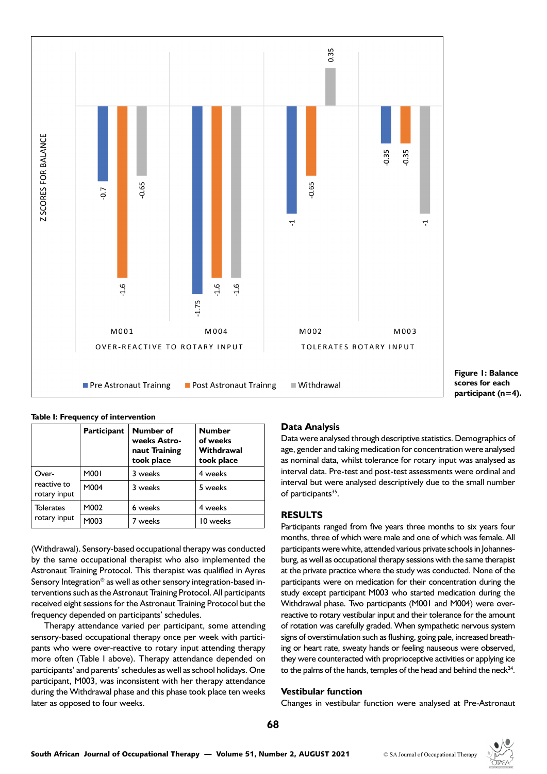

**Figure 1: Balance scores for each participant (n=4).**

|  | Table I: Frequency of intervention |
|--|------------------------------------|
|  |                                    |

|                                      | Participant | Number of<br>weeks Astro-<br>naut Training<br>took place | <b>Number</b><br>of weeks<br>Withdrawal<br>took place |
|--------------------------------------|-------------|----------------------------------------------------------|-------------------------------------------------------|
| Over-<br>reactive to<br>rotary input | M001        | 3 weeks                                                  | 4 weeks                                               |
|                                      | M004        | 3 weeks                                                  | 5 weeks                                               |
| <b>Tolerates</b><br>rotary input     | M002        | 6 weeks                                                  | 4 weeks                                               |
|                                      | M003        | 7 weeks                                                  | 10 weeks                                              |

(Withdrawal). Sensory-based occupational therapy was conducted by the same occupational therapist who also implemented the Astronaut Training Protocol. This therapist was qualified in Ayres Sensory Integration® as well as other sensory integration-based interventions such as the Astronaut Training Protocol. All participants received eight sessions for the Astronaut Training Protocol but the frequency depended on participants' schedules.

Therapy attendance varied per participant, some attending sensory-based occupational therapy once per week with participants who were over-reactive to rotary input attending therapy more often (Table I above). Therapy attendance depended on participants' and parents' schedules as well as school holidays. One participant, M003, was inconsistent with her therapy attendance during the Withdrawal phase and this phase took place ten weeks later as opposed to four weeks.

## **Data Analysis**

Data were analysed through descriptive statistics. Demographics of age, gender and taking medication for concentration were analysed as nominal data, whilst tolerance for rotary input was analysed as interval data. Pre-test and post-test assessments were ordinal and interval but were analysed descriptively due to the small number of participants<sup>35</sup>.

## **RESULTS**

Participants ranged from five years three months to six years four months, three of which were male and one of which was female. All participants were white, attended various private schools in Johannesburg, as well as occupational therapy sessions with the same therapist at the private practice where the study was conducted. None of the participants were on medication for their concentration during the study except participant M003 who started medication during the Withdrawal phase. Two participants (M001 and M004) were overreactive to rotary vestibular input and their tolerance for the amount of rotation was carefully graded. When sympathetic nervous system signs of overstimulation such as flushing, going pale, increased breathing or heart rate, sweaty hands or feeling nauseous were observed, they were counteracted with proprioceptive activities or applying ice to the palms of the hands, temples of the head and behind the neck $24$ .

# **Vestibular function**

Changes in vestibular function were analysed at Pre-Astronaut

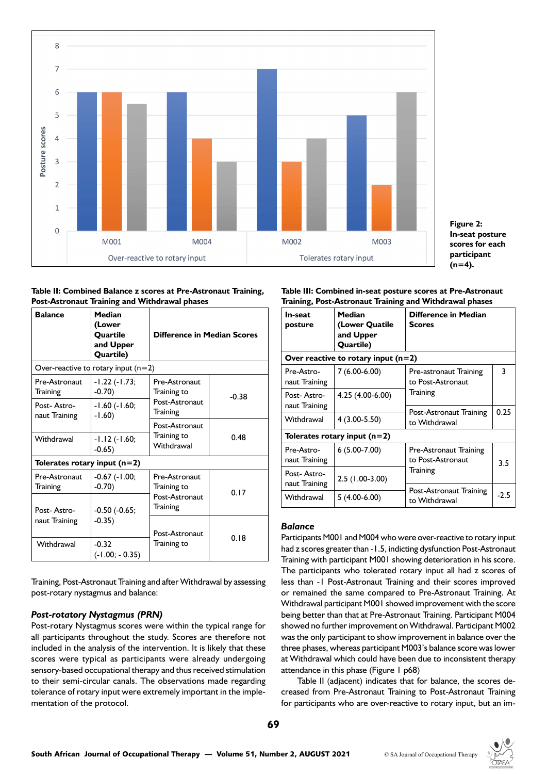



#### **Table II: Combined Balance z scores at Pre-Astronaut Training, Post-Astronaut Training and Withdrawal phases**

| <b>Balance</b>                 | <b>Median</b><br>(Lower<br>Quartile<br>and Upper<br>Quartile) | Difference in Median Scores  |         |  |
|--------------------------------|---------------------------------------------------------------|------------------------------|---------|--|
|                                | Over-reactive to rotary input $(n=2)$                         |                              |         |  |
| Pre-Astronaut<br>Training      | -1.22 (-1.73;<br>$-0.70$                                      | Pre-Astronaut<br>Training to | $-0.38$ |  |
| Post-Astro-<br>naut Training   | -1.60 (-1.60;<br>$-1.60)$                                     | Post-Astronaut<br>Training   |         |  |
|                                |                                                               | Post-Astronaut               | 0.48    |  |
| Withdrawal                     | -1.12 (-1.60;<br>$-0.65$                                      | Training to<br>Withdrawal    |         |  |
| Tolerates rotary input $(n=2)$ |                                                               |                              |         |  |
| Pre-Astronaut<br>Training      | $-0.67$ $(-1.00;$<br>$-0.70$                                  | Pre-Astronaut<br>Training to | 0.17    |  |
| Post-Astro-                    | $-0.50$ ( $-0.65$ ;                                           |                              |         |  |
| naut Training                  | $-0.35$                                                       | Post-Astronaut               |         |  |
| Withdrawal                     | $-0.32$<br>$(-1.00; -0.35)$                                   | Training to                  | 0.18    |  |

Training, Post-Astronaut Training and after Withdrawal by assessing post-rotary nystagmus and balance:

# *Post-rotatory Nystagmus (PRN)*

Post-rotary Nystagmus scores were within the typical range for all participants throughout the study. Scores are therefore not included in the analysis of the intervention. It is likely that these scores were typical as participants were already undergoing sensory-based occupational therapy and thus received stimulation to their semi-circular canals. The observations made regarding tolerance of rotary input were extremely important in the implementation of the protocol.

#### **Table III: Combined in-seat posture scores at Pre-Astronaut Training, Post-Astronaut Training and Withdrawal phases**

| In-seat<br>posture                    | Median<br>(Lower Quatile<br>and Upper<br>Quartile) | Difference in Median<br><b>Scores</b>       |        |  |
|---------------------------------------|----------------------------------------------------|---------------------------------------------|--------|--|
| Over reactive to rotary input $(n=2)$ |                                                    |                                             |        |  |
| Pre-Astro-<br>naut Training           | $7(6.00-6.00)$                                     | Pre-astronaut Training<br>to Post-Astronaut | 3      |  |
| Post-Astro-<br>naut Training          | 4.25 (4.00-6.00)                                   | Training                                    |        |  |
| Withdrawal                            | $4(3.00 - 5.50)$                                   | Post-Astronaut Training<br>to Withdrawal    | 0.25   |  |
| Tolerates rotary input $(n=2)$        |                                                    |                                             |        |  |
| Pre-Astro-<br>naut Training           | $6(5.00-7.00)$                                     | Pre-Astronaut Training<br>to Post-Astronaut | 3.5    |  |
| Post-Astro-<br>naut Training          | $2.5(1.00-3.00)$                                   | Training                                    |        |  |
| Withdrawal                            | $5(4.00-6.00)$                                     | Post-Astronaut Training<br>to Withdrawal    | $-2.5$ |  |

## *Balance*

Participants M001 and M004 who were over-reactive to rotary input had z scores greater than -1.5, indicting dysfunction Post-Astronaut Training with participant M001 showing deterioration in his score. The participants who tolerated rotary input all had z scores of less than -1 Post-Astronaut Training and their scores improved or remained the same compared to Pre-Astronaut Training. At Withdrawal participant M001 showed improvement with the score being better than that at Pre-Astronaut Training. Participant M004 showed no further improvement on Withdrawal. Participant M002 was the only participant to show improvement in balance over the three phases, whereas participant M003's balance score was lower at Withdrawal which could have been due to inconsistent therapy attendance in this phase (Figure 1 p68)

 Table II (adjacent) indicates that for balance, the scores decreased from Pre-Astronaut Training to Post-Astronaut Training for participants who are over-reactive to rotary input, but an im-

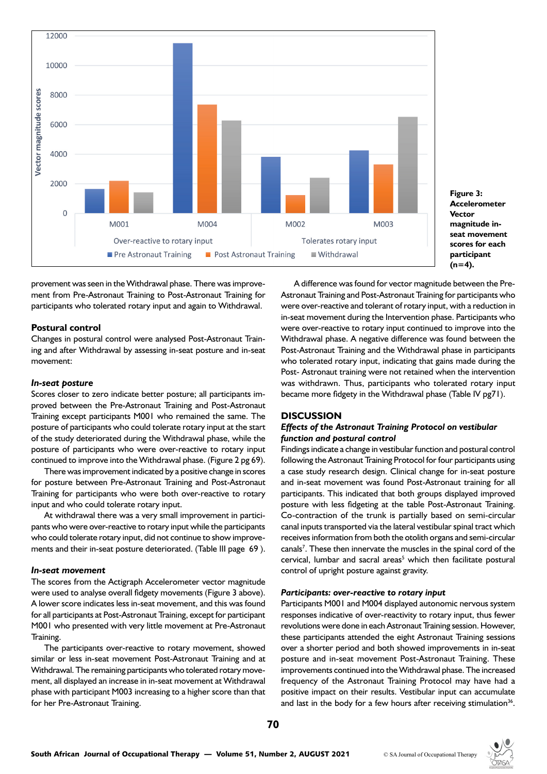

**Figure 3: Accelerometer Vector magnitude inseat movement scores for each participant (n=4).**

provement was seen in the Withdrawal phase. There was improvement from Pre-Astronaut Training to Post-Astronaut Training for participants who tolerated rotary input and again to Withdrawal.

#### **Postural control**

Changes in postural control were analysed Post-Astronaut Training and after Withdrawal by assessing in-seat posture and in-seat movement:

#### *In-seat posture*

Scores closer to zero indicate better posture; all participants improved between the Pre-Astronaut Training and Post-Astronaut Training except participants M001 who remained the same. The posture of participants who could tolerate rotary input at the start of the study deteriorated during the Withdrawal phase, while the posture of participants who were over-reactive to rotary input continued to improve into the Withdrawal phase. (Figure 2 pg 69).

There was improvement indicated by a positive change in scores for posture between Pre-Astronaut Training and Post-Astronaut Training for participants who were both over-reactive to rotary input and who could tolerate rotary input.

At withdrawal there was a very small improvement in participants who were over-reactive to rotary input while the participants who could tolerate rotary input, did not continue to show improvements and their in-seat posture deteriorated. (Table III page 69 ).

#### *In-seat movement*

The scores from the Actigraph Accelerometer vector magnitude were used to analyse overall fidgety movements (Figure 3 above). A lower score indicates less in-seat movement, and this was found for all participants at Post-Astronaut Training, except for participant M001 who presented with very little movement at Pre-Astronaut Training.

The participants over-reactive to rotary movement, showed similar or less in-seat movement Post-Astronaut Training and at Withdrawal. The remaining participants who tolerated rotary movement, all displayed an increase in in-seat movement at Withdrawal phase with participant M003 increasing to a higher score than that for her Pre-Astronaut Training.

A difference was found for vector magnitude between the Pre-Astronaut Training and Post-Astronaut Training for participants who were over-reactive and tolerant of rotary input, with a reduction in in-seat movement during the Intervention phase. Participants who were over-reactive to rotary input continued to improve into the Withdrawal phase. A negative difference was found between the Post-Astronaut Training and the Withdrawal phase in participants who tolerated rotary input, indicating that gains made during the Post- Astronaut training were not retained when the intervention was withdrawn. Thus, participants who tolerated rotary input became more fidgety in the Withdrawal phase (Table IV pg71).

#### **DISCUSSION**

## *Effects of the Astronaut Training Protocol on vestibular function and postural control*

Findings indicate a change in vestibular function and postural control following the Astronaut Training Protocol for four participants using a case study research design. Clinical change for in-seat posture and in-seat movement was found Post-Astronaut training for all participants. This indicated that both groups displayed improved posture with less fidgeting at the table Post-Astronaut Training. Co-contraction of the trunk is partially based on semi-circular canal inputs transported via the lateral vestibular spinal tract which receives information from both the otolith organs and semi-circular canals<sup>7</sup>. These then innervate the muscles in the spinal cord of the cervical, lumbar and sacral areas<sup>5</sup> which then facilitate postural control of upright posture against gravity.

#### *Participants: over-reactive to rotary input*

Participants M001 and M004 displayed autonomic nervous system responses indicative of over-reactivity to rotary input, thus fewer revolutions were done in each Astronaut Training session. However, these participants attended the eight Astronaut Training sessions over a shorter period and both showed improvements in in-seat posture and in-seat movement Post-Astronaut Training. These improvements continued into the Withdrawal phase. The increased frequency of the Astronaut Training Protocol may have had a positive impact on their results. Vestibular input can accumulate and last in the body for a few hours after receiving stimulation<sup>36</sup>.

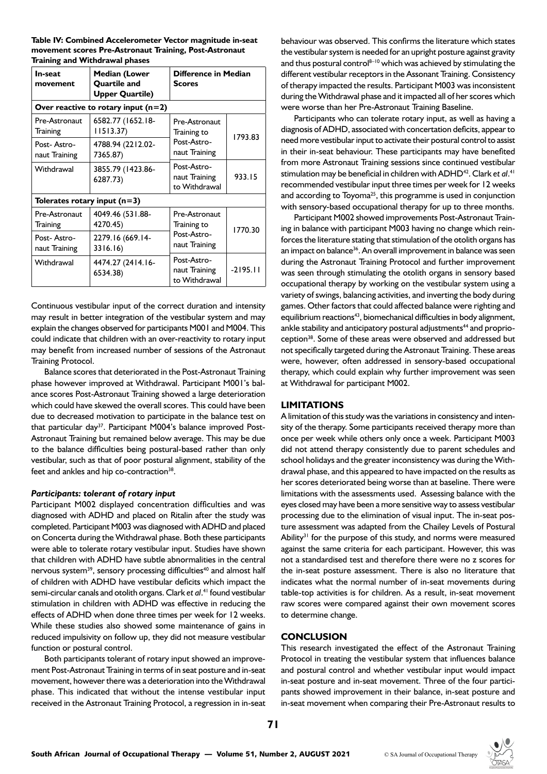**Table IV: Combined Accelerometer Vector magnitude in-seat movement scores Pre-Astronaut Training, Post-Astronaut Training and Withdrawal phases**

| In-seat<br>movement                   | <b>Median (Lower</b><br><b>Quartile and</b><br><b>Upper Quartile)</b> | Difference in Median<br><b>Scores</b>         |            |
|---------------------------------------|-----------------------------------------------------------------------|-----------------------------------------------|------------|
| Over reactive to rotary input $(n=2)$ |                                                                       |                                               |            |
| Pre-Astronaut<br>Training             | 6582.77 (1652.18-<br>11513.37                                         | Pre-Astronaut<br>Training to                  | 1793.83    |
| Post-Astro-<br>naut Training          | 4788.94 (2212.02-<br>7365.87)                                         | Post-Astro-<br>naut Training                  |            |
| Withdrawal                            | 3855.79 (1423.86-<br>6287.73)                                         | Post-Astro-<br>naut Training<br>to Withdrawal | 933.15     |
| Tolerates rotary input $(n=3)$        |                                                                       |                                               |            |
| Pre-Astronaut<br>Training             | 4049.46 (531.88-<br>4270.45)                                          | Pre-Astronaut<br>Training to                  | 1770.30    |
| Post-Astro-<br>naut Training          | 2279.16 (669.14-<br>3316.16)                                          | Post-Astro-<br>naut Training                  |            |
| Withdrawal                            | 4474.27 (2414.16-<br>6534.38)                                         | Post-Astro-<br>naut Training<br>to Withdrawal | $-2195.11$ |

Continuous vestibular input of the correct duration and intensity may result in better integration of the vestibular system and may explain the changes observed for participants M001 and M004. This could indicate that children with an over-reactivity to rotary input may benefit from increased number of sessions of the Astronaut Training Protocol.

Balance scores that deteriorated in the Post-Astronaut Training phase however improved at Withdrawal. Participant M001's balance scores Post-Astronaut Training showed a large deterioration which could have skewed the overall scores. This could have been due to decreased motivation to participate in the balance test on that particular day<sup>37</sup>. Participant M004's balance improved Post-Astronaut Training but remained below average. This may be due to the balance difficulties being postural-based rather than only vestibular, such as that of poor postural alignment, stability of the feet and ankles and hip co-contraction<sup>38</sup>.

#### *Participants: tolerant of rotary input*

Participant M002 displayed concentration difficulties and was diagnosed with ADHD and placed on Ritalin after the study was completed. Participant M003 was diagnosed with ADHD and placed on Concerta during the Withdrawal phase. Both these participants were able to tolerate rotary vestibular input. Studies have shown that children with ADHD have subtle abnormalities in the central nervous system<sup>39</sup>, sensory processing difficulties<sup>40</sup> and almost half of children with ADHD have vestibular deficits which impact the semi-circular canals and otolith organs. Clark *et al*. 41 found vestibular stimulation in children with ADHD was effective in reducing the effects of ADHD when done three times per week for 12 weeks. While these studies also showed some maintenance of gains in reduced impulsivity on follow up, they did not measure vestibular function or postural control.

Both participants tolerant of rotary input showed an improvement Post-Astronaut Training in terms of in seat posture and in-seat movement, however there was a deterioration into the Withdrawal phase. This indicated that without the intense vestibular input received in the Astronaut Training Protocol, a regression in in-seat

behaviour was observed. This confirms the literature which states the vestibular system is needed for an upright posture against gravity and thus postural control $8-10$  which was achieved by stimulating the different vestibular receptors in the Assonant Training. Consistency of therapy impacted the results. Participant M003 was inconsistent during the Withdrawal phase and it impacted all of her scores which were worse than her Pre-Astronaut Training Baseline.

Participants who can tolerate rotary input, as well as having a diagnosis of ADHD, associated with concertation deficits, appear to need more vestibular input to activate their postural control to assist in their in-seat behaviour. These participants may have benefited from more Astronaut Training sessions since continued vestibular stimulation may be beneficial in children with ADHD<sup>42</sup>. Clark et al.<sup>41</sup> recommended vestibular input three times per week for 12 weeks and according to Toyoma<sup>25</sup>, this programme is used in conjunction with sensory-based occupational therapy for up to three months.

Participant M002 showed improvements Post-Astronaut Training in balance with participant M003 having no change which reinforces the literature stating that stimulation of the otolith organs has an impact on balance<sup>36</sup>. An overall improvement in balance was seen during the Astronaut Training Protocol and further improvement was seen through stimulating the otolith organs in sensory based occupational therapy by working on the vestibular system using a variety of swings, balancing activities, and inverting the body during games. Other factors that could affected balance were righting and equilibrium reactions<sup>43</sup>, biomechanical difficulties in body alignment, ankle stability and anticipatory postural adjustments<sup>44</sup> and proprioception<sup>38</sup>. Some of these areas were observed and addressed but not specifically targeted during the Astronaut Training. These areas were, however, often addressed in sensory-based occupational therapy, which could explain why further improvement was seen at Withdrawal for participant M002.

## **LIMITATIONS**

A limitation of this study was the variations in consistency and intensity of the therapy. Some participants received therapy more than once per week while others only once a week. Participant M003 did not attend therapy consistently due to parent schedules and school holidays and the greater inconsistency was during the Withdrawal phase, and this appeared to have impacted on the results as her scores deteriorated being worse than at baseline. There were limitations with the assessments used. Assessing balance with the eyes closed may have been a more sensitive way to assess vestibular processing due to the elimination of visual input. The in-seat posture assessment was adapted from the Chailey Levels of Postural Ability<sup>31</sup> for the purpose of this study, and norms were measured against the same criteria for each participant. However, this was not a standardised test and therefore there were no z scores for the in-seat posture assessment. There is also no literature that indicates what the normal number of in-seat movements during table-top activities is for children. As a result, in-seat movement raw scores were compared against their own movement scores to determine change.

## **CONCLUSION**

This research investigated the effect of the Astronaut Training Protocol in treating the vestibular system that influences balance and postural control and whether vestibular input would impact in-seat posture and in-seat movement. Three of the four participants showed improvement in their balance, in-seat posture and in-seat movement when comparing their Pre-Astronaut results to

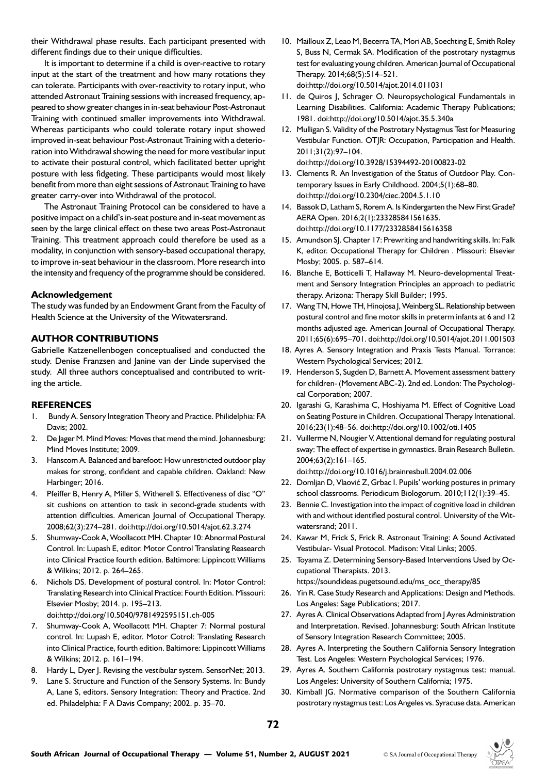their Withdrawal phase results. Each participant presented with different findings due to their unique difficulties.

It is important to determine if a child is over-reactive to rotary input at the start of the treatment and how many rotations they can tolerate. Participants with over-reactivity to rotary input, who attended Astronaut Training sessions with increased frequency, appeared to show greater changes in in-seat behaviour Post-Astronaut Training with continued smaller improvements into Withdrawal. Whereas participants who could tolerate rotary input showed improved in-seat behaviour Post-Astronaut Training with a deterioration into Withdrawal showing the need for more vestibular input to activate their postural control, which facilitated better upright posture with less fidgeting. These participants would most likely benefit from more than eight sessions of Astronaut Training to have greater carry-over into Withdrawal of the protocol.

The Astronaut Training Protocol can be considered to have a positive impact on a child's in-seat posture and in-seat movement as seen by the large clinical effect on these two areas Post-Astronaut Training. This treatment approach could therefore be used as a modality, in conjunction with sensory-based occupational therapy, to improve in-seat behaviour in the classroom. More research into the intensity and frequency of the programme should be considered.

#### **Acknowledgement**

The study was funded by an Endowment Grant from the Faculty of Health Science at the University of the Witwatersrand.

#### **AUTHOR CONTRIBUTIONS**

Gabrielle Katzenellenbogen conceptualised and conducted the study. Denise Franzsen and Janine van der Linde supervised the study. All three authors conceptualised and contributed to writing the article.

#### **REFERENCES**

- 1. Bundy A. Sensory Integration Theory and Practice. Philidelphia: FA Davis; 2002.
- 2. De Jager M. Mind Moves: Moves that mend the mind. Johannesburg: Mind Moves Institute; 2009.
- 3. Hanscom A. Balanced and barefoot: How unrestricted outdoor play makes for strong, confident and capable children. Oakland: New Harbinger; 2016.
- 4. Pfeiffer B, Henry A, Miller S, Witherell S. Effectiveness of disc "O" sit cushions on attention to task in second-grade students with attention difficulties. American Journal of Occupational Therapy. 2008;62(3):274–281. doi:http://doi.org/10.5014/ajot.62.3.274
- 5. Shumway-Cook A, Woollacott MH. Chapter 10: Abnormal Postural Control. In: Lupash E, editor. Motor Control Translating Reasearch into Clinical Practice fourth edition. Baltimore: Lippincott Williams & Wilkins; 2012. p. 264–265.
- 6. Nichols DS. Development of postural control. In: Motor Control: Translating Research into Clinical Practice: Fourth Edition. Missouri: Elsevier Mosby; 2014. p. 195–213.
	- doi:http://doi.org/10.5040/9781492595151.ch-005
- 7. Shumway-Cook A, Woollacott MH. Chapter 7: Normal postural control. In: Lupash E, editor. Motor Cotrol: Translating Research into Clinical Practice, fourth edition. Baltimore: Lippincott Williams & Wilkins; 2012. p. 161–194.
- 8. Hardy L, Dyer J. Revising the vestibular system. SensorNet; 2013.
- 9. Lane S. Structure and Function of the Sensory Systems. In: Bundy A, Lane S, editors. Sensory Integration: Theory and Practice. 2nd ed. Philadelphia: F A Davis Company; 2002. p. 35–70.
- 10. Mailloux Z, Leao M, Becerra TA, Mori AB, Soechting E, Smith Roley S, Buss N, Cermak SA. Modification of the postrotary nystagmus test for evaluating young children. American Journal of Occupational Therapy. 2014;68(5):514–521. <doi:http://doi.org/10.5014/ajot.2014.011031>
- 11. de Quiros J, Schrager O. Neuropsychological Fundamentals in Learning Disabilities. California: Academic Therapy Publications; 1981. doi:http://doi.org/10.5014/ajot.35.5.340a
- 12. Mulligan S. Validity of the Postrotary Nystagmus Test for Measuring Vestibular Function. OTJR: Occupation, Participation and Health. 2011;31(2):97–104. doi:http://doi.org/10.3928/15394492-20100823-02
- 13. Clements R. An Investigation of the Status of Outdoor Play. Contemporary Issues in Early Childhood. 2004;5(1):68–80. doi:http://doi.org/10.2304/ciec.2004.5.1.10
- 14. Bassok D, Latham S, Rorem A. Is Kindergarten the New First Grade? AERA Open. 2016;2(1):233285841561635. doi:http://doi.org/10.1177/2332858415616358
- 15. Amundson SJ. Chapter 17: Prewriting and handwriting skills. In: Falk K, editor. Occupational Therapy for Children . Missouri: Elsevier Mosby; 2005. p. 587–614.
- 16. Blanche E, Botticelli T, Hallaway M. Neuro-developmental Treatment and Sensory Integration Principles an approach to pediatric therapy. Arizona: Therapy Skill Builder; 1995.
- 17. Wang TN, Howe TH, Hinojosa J, Weinberg SL. Relationship between postural control and fine motor skills in preterm infants at 6 and 12 months adjusted age. American Journal of Occupational Therapy. 2011;65(6):695–701. doi:http://doi.org/10.5014/ajot.2011.001503
- 18. Ayres A. Sensory Integration and Praxis Tests Manual. Torrance: Western Psychological Services; 2012.
- 19. Henderson S, Sugden D, Barnett A. Movement assessment battery for children- (Movement ABC-2). 2nd ed. London: The Psychological Corporation; 2007.
- 20. Igarashi G, Karashima C, Hoshiyama M. Effect of Cognitive Load on Seating Posture in Children. Occupational Therapy Intenational. 2016;23(1):48–56. doi:http://doi.org/10.1002/oti.1405
- 21. Vuillerme N, Nougier V. Attentional demand for regulating postural sway: The effect of expertise in gymnastics. Brain Research Bulletin. 2004;63(2):161–165.

doi:http://doi.org/10.1016/j.brainresbull.2004.02.006

- 22. Domljan D, Vlaović Z, Grbac I. Pupils' working postures in primary school classrooms. Periodicum Biologorum. 2010;112(1):39–45.
- 23. Bennie C. Investigation into the impact of cognitive load in children with and without identified postural control. University of the Witwatersrand; 2011.
- 24. Kawar M, Frick S, Frick R. Astronaut Training: A Sound Activated Vestibular- Visual Protocol. Madison: Vital Links; 2005.
- 25. Toyama Z. Determining Sensory-Based Interventions Used by Occupational Therapists. 2013.

https://soundideas.pugetsound.edu/ms\_occ\_therapy/85

- 26. Yin R. Case Study Research and Applications: Design and Methods. Los Angeles: Sage Publications; 2017.
- 27. Ayres A. Clinical Observations Adapted from J Ayres Administration and Interpretation. Revised. Johannesburg: South African Institute of Sensory Integration Research Committee; 2005.
- 28. Ayres A. Interpreting the Southern California Sensory Integration Test. Los Angeles: Western Psychological Services; 1976.
- 29. Ayres A. Southern California postrotary nystagmus test: manual. Los Angeles: University of Southern California; 1975.
- 30. Kimball JG. Normative comparison of the Southern California postrotary nystagmus test: Los Angeles vs. Syracuse data. American